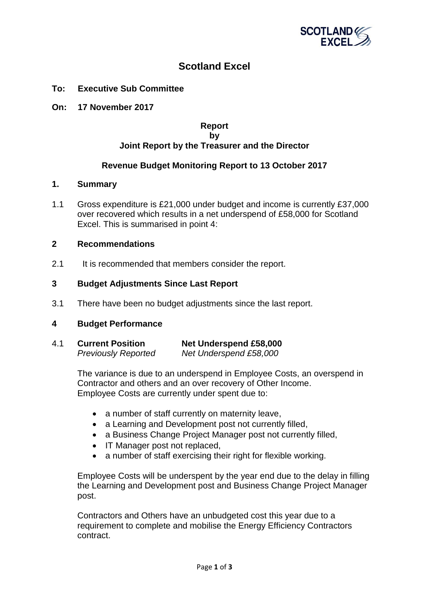

# **Scotland Excel**

- **To: Executive Sub Committee**
- **On: 17 November 2017**

## **Report by Joint Report by the Treasurer and the Director**

## **Revenue Budget Monitoring Report to 13 October 2017**

#### **1. Summary**

1.1 Gross expenditure is £21,000 under budget and income is currently £37,000 over recovered which results in a net underspend of £58,000 for Scotland Excel. This is summarised in point 4:

#### **2 Recommendations**

2.1 It is recommended that members consider the report.

#### **3 Budget Adjustments Since Last Report**

3.1 There have been no budget adjustments since the last report.

## **4 Budget Performance**

4.1 **Current Position Net Underspend £58,000** *Previously Reported Net Underspend £58,000*

> The variance is due to an underspend in Employee Costs, an overspend in Contractor and others and an over recovery of Other Income. Employee Costs are currently under spent due to:

- a number of staff currently on maternity leave,
- a Learning and Development post not currently filled.
- a Business Change Project Manager post not currently filled,
- IT Manager post not replaced,
- a number of staff exercising their right for flexible working.

Employee Costs will be underspent by the year end due to the delay in filling the Learning and Development post and Business Change Project Manager post.

Contractors and Others have an unbudgeted cost this year due to a requirement to complete and mobilise the Energy Efficiency Contractors contract.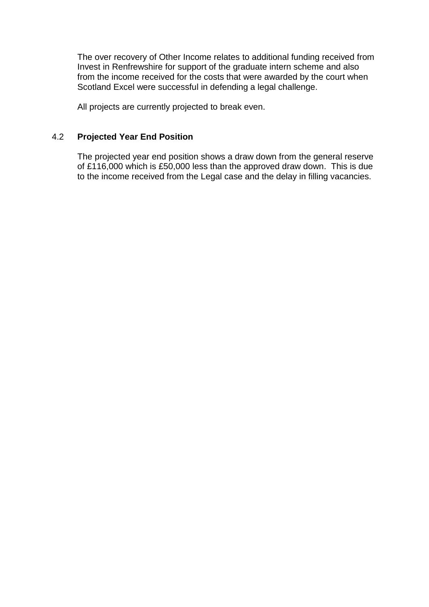The over recovery of Other Income relates to additional funding received from Invest in Renfrewshire for support of the graduate intern scheme and also from the income received for the costs that were awarded by the court when Scotland Excel were successful in defending a legal challenge.

All projects are currently projected to break even.

## 4.2 **Projected Year End Position**

The projected year end position shows a draw down from the general reserve of £116,000 which is £50,000 less than the approved draw down. This is due to the income received from the Legal case and the delay in filling vacancies.